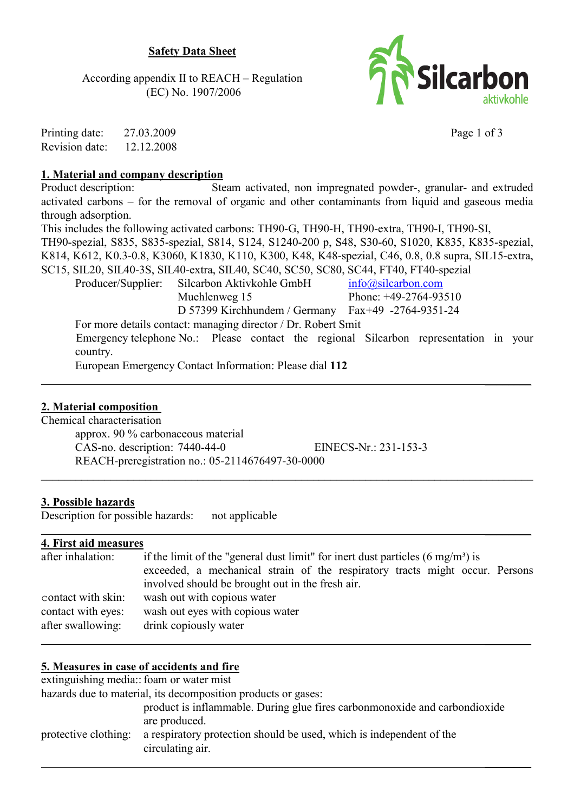# **Safety Data Sheet**

According appendix II to REACH – Regulation (EC) No. 1907/2006



Printing date: 27 03 2009 Revision date: 12.12.2008 Page 1 of 3

### 1. Material and company description

Product description: Steam activated, non impregnated powder-, granular- and extruded activated carbons – for the removal of organic and other contaminants from liquid and gaseous media through adsorption.

This includes the following activated carbons: TH90-G, TH90-H, TH90-extra, TH90-I, TH90-SI,

TH90-spezial, S835, S835-spezial, S814, S124, S1240-200 p, S48, S30-60, S1020, K835, K835-spezial,

K814, K612, K0.3-0.8, K3060, K1830, K110, K300, K48, K48-spezial, C46, 0.8, 0.8 supra, SIL15-extra,

SC15, SIL20, SIL40-3S, SIL40-extra, SIL40, SC40, SC50, SC80, SC44, FT40, FT40-spezial

Producer/Supplier: Silcarbon Aktivkohle GmbH  $info@silcarbon.com$ Muehlenweg 15 Phone: +49-2764-93510

D 57399 Kirchhundem / Germany Fax+49 -2764-9351-24

For more details contact: managing director / Dr. Robert Smit

Emergency telephone No.: Please contact the regional Silcarbon representation in your country.

European Emergency Contact Information: Please dial 112

# 2. Material composition

Chemical characterisation

approx. 90 % carbonaceous material CAS-no. description: 7440-44-0 EINECS-Nr.: 231-153-3 REACH-preregistration no.: 05-2114676497-30-0000

# 3. Possible hazards

Description for possible hazards: not applicable

# 4. First aid measures

| after inhalation:  | if the limit of the "general dust limit" for inert dust particles $(6 \text{ mg/m}^3)$ is |  |  |  |
|--------------------|-------------------------------------------------------------------------------------------|--|--|--|
|                    | exceeded, a mechanical strain of the respiratory tracts might occur. Persons              |  |  |  |
|                    | involved should be brought out in the fresh air.                                          |  |  |  |
| contact with skin: | wash out with copious water                                                               |  |  |  |
| contact with eyes: | wash out eyes with copious water                                                          |  |  |  |
| after swallowing:  | drink copiously water                                                                     |  |  |  |

# 5. Measures in case of accidents and fire

extinguishing media: foam or water mist

hazards due to material, its decomposition products or gases:

product is inflammable. During glue fires carbonmonoxide and carbondioxide are produced.

| protective clothing: a respiratory protection should be used, which is independent of the |  |
|-------------------------------------------------------------------------------------------|--|
| circulating air.                                                                          |  |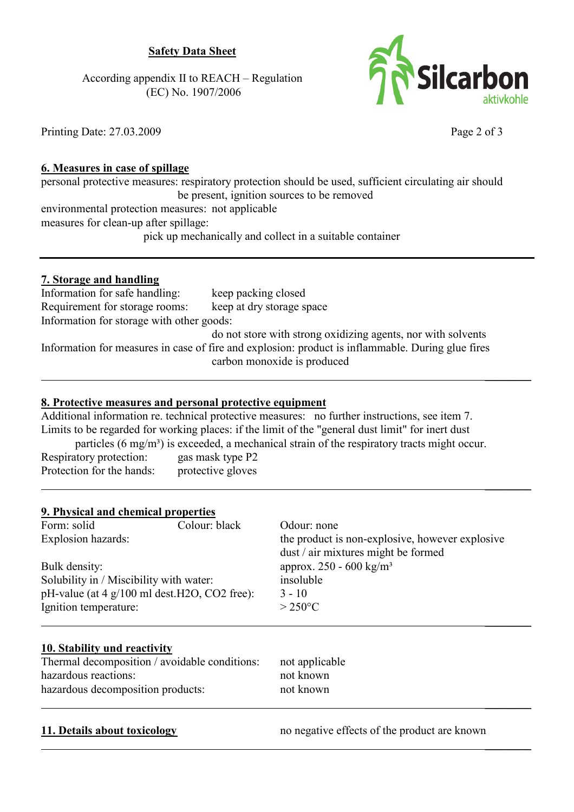# **Safety Data Sheet**

According appendix II to REACH – Regulation (EC) No. 1907/2006



**TR** Silcarbon

Page 2 of 3

### 6. Measures in case of spillage

personal protective measures: respiratory protection should be used, sufficient circulating air should be present, ignition sources to be removed environmental protection measures: not applicable measures for clean-up after spillage: pick up mechanically and collect in a suitable container

### 7. Storage and handling

Information for safe handling: keep packing closed keep at dry storage space Requirement for storage rooms: Information for storage with other goods: do not store with strong oxidizing agents, nor with solvents

Information for measures in case of fire and explosion: product is inflammable. During glue fires carbon monoxide is produced

### 8. Protective measures and personal protective equipment

Additional information re. technical protective measures: no further instructions, see item 7. Limits to be regarded for working places: if the limit of the "general dust limit" for inert dust

particles  $(6 \text{ mg/m}^3)$  is exceeded, a mechanical strain of the respiratory tracts might occur.

Respiratory protection: gas mask type P2 Protection for the hands: protective gloves

# 9. Physical and chemical properties

| Form: solid                                             | Colour: black | Odour: none                                     |
|---------------------------------------------------------|---------------|-------------------------------------------------|
| <b>Explosion hazards:</b>                               |               | the product is non-explosive, however explosive |
|                                                         |               | dust / air mixtures might be formed             |
| Bulk density:                                           |               | approx. 250 - 600 kg/m <sup>3</sup>             |
| Solubility in / Miscibility with water:                 |               | insoluble                                       |
| pH-value (at $4 \frac{g}{100}$ ml dest. H2O, CO2 free): |               | $3 - 10$                                        |
| Ignition temperature:                                   |               | $>250^{\circ}$ C                                |
|                                                         |               |                                                 |

# 10. Stability und reactivity

Thermal decomposition / avoidable conditions: hazardous reactions: hazardous decomposition products:

not applicable not known not known

# 11. Details about toxicology

no negative effects of the product are known